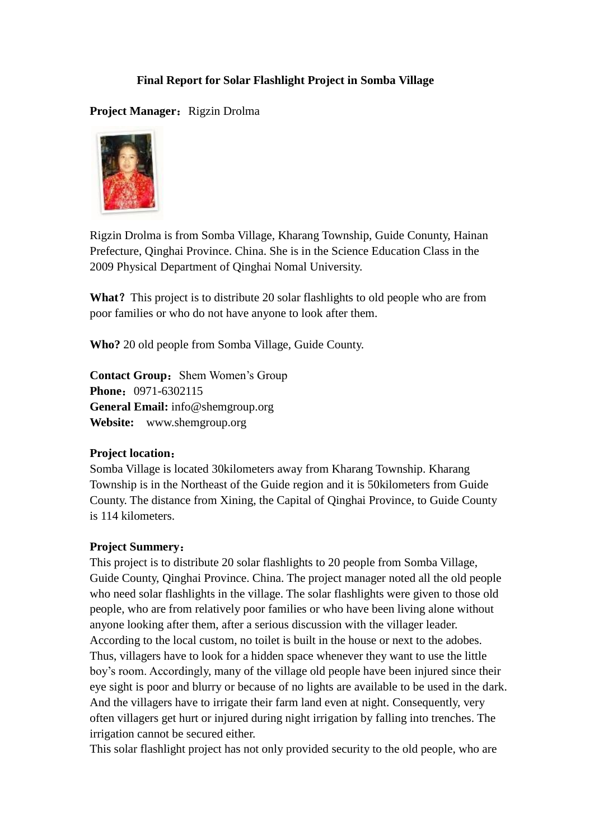## **Final Report for Solar Flashlight Project in Somba Village**

Project Manager: Rigzin Drolma



Rigzin Drolma is from Somba Village, Kharang Township, Guide Conunty, Hainan Prefecture, Qinghai Province. China. She is in the Science Education Class in the 2009 Physical Department of Qinghai Nomal University.

**What**? This project is to distribute 20 solar flashlights to old people who are from poor families or who do not have anyone to look after them.

**Who?** 20 old people from Somba Village, Guide County.

**Contact Group:** Shem Women's Group **Phone:** 0971-6302115 **General Email:** [info@shemgroup.org](mailto:info@shemgroup.org) **Website:** [www.shemgroup.org](http://www.shemgroup.org/)

### **Project location**:

Somba Village is located 30kilometers away from Kharang Township. Kharang Township is in the Northeast of the Guide region and it is 50kilometers from Guide County. The distance from Xining, the Capital of Qinghai Province, to Guide County is 114 kilometers.

### **Project Summery**:

This project is to distribute 20 solar flashlights to 20 people from Somba Village, Guide County, Qinghai Province. China. The project manager noted all the old people who need solar flashlights in the village. The solar flashlights were given to those old people, who are from relatively poor families or who have been living alone without anyone looking after them, after a serious discussion with the villager leader. According to the local custom, no toilet is built in the house or next to the adobes. Thus, villagers have to look for a hidden space whenever they want to use the little boy's room. Accordingly, many of the village old people have been injured since their eye sight is poor and blurry or because of no lights are available to be used in the dark. And the villagers have to irrigate their farm land even at night. Consequently, very often villagers get hurt or injured during night irrigation by falling into trenches. The irrigation cannot be secured either.

This solar flashlight project has not only provided security to the old people, who are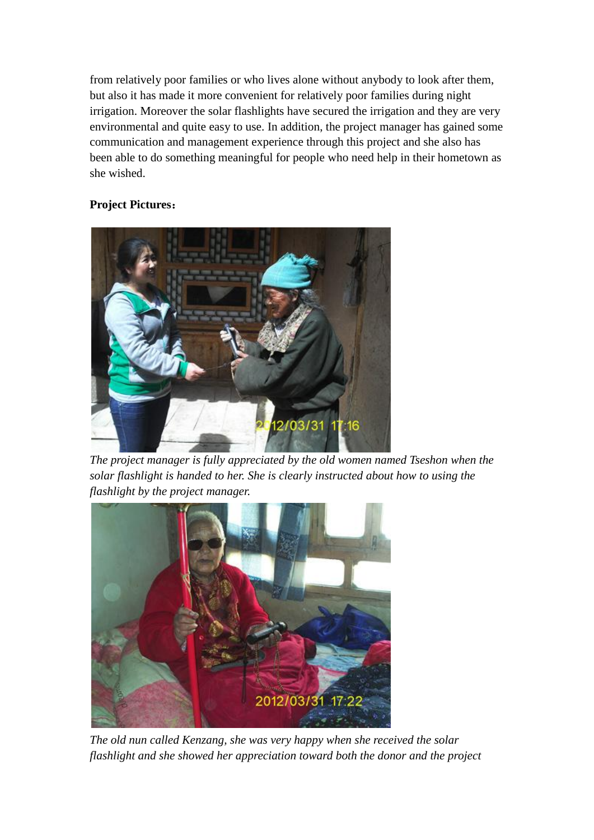from relatively poor families or who lives alone without anybody to look after them, but also it has made it more convenient for relatively poor families during night irrigation. Moreover the solar flashlights have secured the irrigation and they are very environmental and quite easy to use. In addition, the project manager has gained some communication and management experience through this project and she also has been able to do something meaningful for people who need help in their hometown as she wished.

## **Project Pictures**:



*The project manager is fully appreciated by the old women named Tseshon when the solar flashlight is handed to her. She is clearly instructed about how to using the flashlight by the project manager.*



*The old nun called Kenzang, she was very happy when she received the solar flashlight and she showed her appreciation toward both the donor and the project*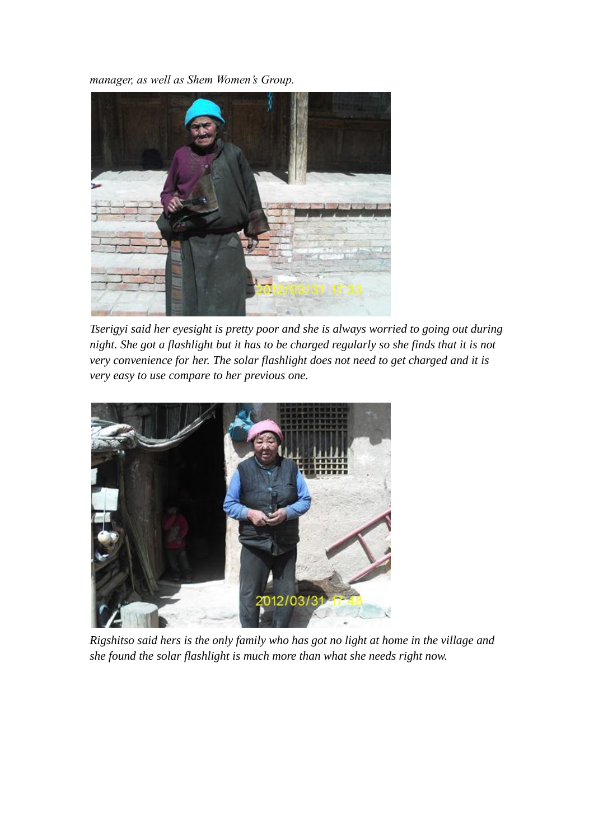*manager, as well as Shem Women's Group.*



*Tserigyi said her eyesight is pretty poor and she is always worried to going out during night. She got a flashlight but it has to be charged regularly so she finds that it is not very convenience for her. The solar flashlight does not need to get charged and it is very easy to use compare to her previous one.*



*Rigshitso said hers is the only family who has got no light at home in the village and she found the solar flashlight is much more than what she needs right now.*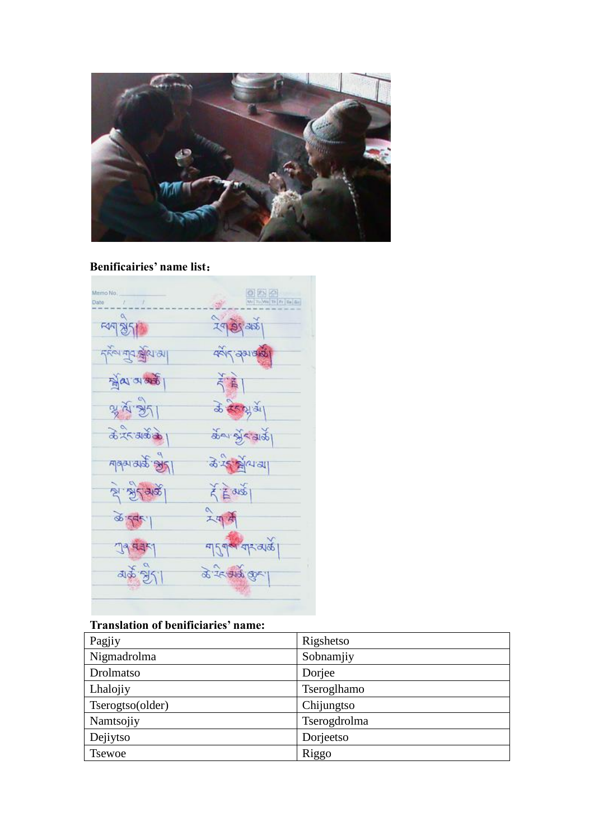

# **Benificairies' name list**:



# **Translation of benificiaries' name:**

| Pagjiy           | Rigshetso    |
|------------------|--------------|
| Nigmadrolma      | Sobnamjiy    |
| Drolmatso        | Dorjee       |
| Lhalojiy         | Tseroglhamo  |
| Tserogtso(older) | Chijungtso   |
| Namtsojiy        | Tserogdrolma |
| Dejiytso         | Dorjeetso    |
| <b>Tsewoe</b>    | Riggo        |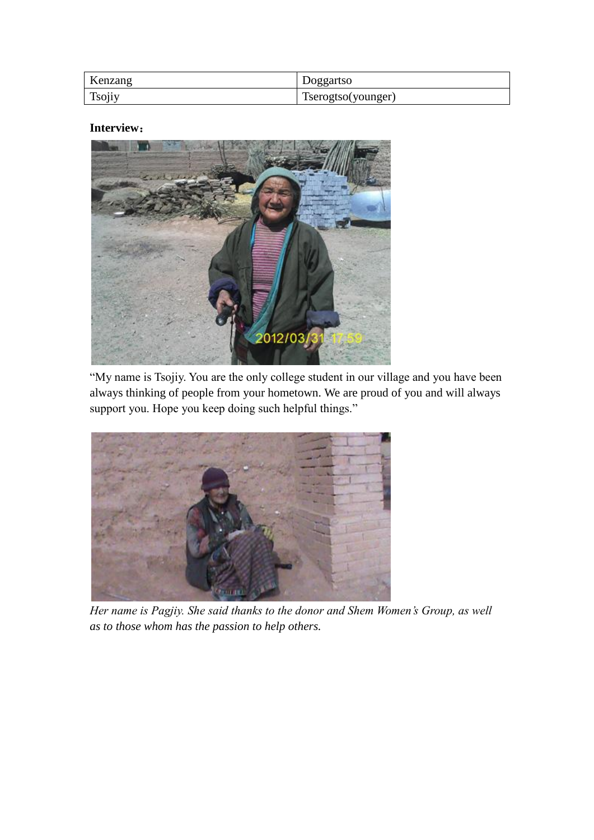| Kenzang | Doggartso          |
|---------|--------------------|
| Tsojiy  | Tserogtso(younger) |

### **Interview**:



"My name is Tsojiy. You are the only college student in our village and you have been always thinking of people from your hometown. We are proud of you and will always support you. Hope you keep doing such helpful things."



*Her name is Pagjiy. She said thanks to the donor and Shem Women's Group, as well as to those whom has the passion to help others.*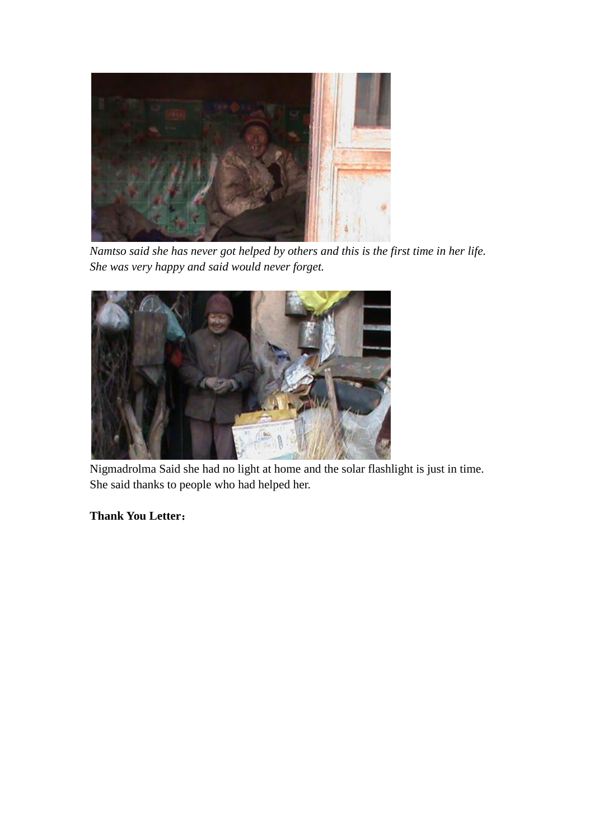

*Namtso said she has never got helped by others and this is the first time in her life. She was very happy and said would never forget.*



Nigmadrolma Said she had no light at home and the solar flashlight is just in time. She said thanks to people who had helped her.

**Thank You Letter**: